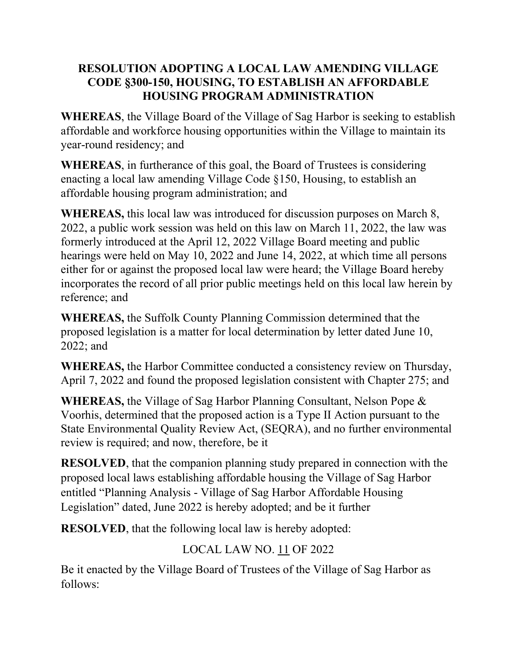#### **RESOLUTION ADOPTING A LOCAL LAW AMENDING VILLAGE CODE §300-150, HOUSING, TO ESTABLISH AN AFFORDABLE HOUSING PROGRAM ADMINISTRATION**

**WHEREAS**, the Village Board of the Village of Sag Harbor is seeking to establish affordable and workforce housing opportunities within the Village to maintain its year-round residency; and

**WHEREAS**, in furtherance of this goal, the Board of Trustees is considering enacting a local law amending Village Code §150, Housing, to establish an affordable housing program administration; and

**WHEREAS,** this local law was introduced for discussion purposes on March 8, 2022, a public work session was held on this law on March 11, 2022, the law was formerly introduced at the April 12, 2022 Village Board meeting and public hearings were held on May 10, 2022 and June 14, 2022, at which time all persons either for or against the proposed local law were heard; the Village Board hereby incorporates the record of all prior public meetings held on this local law herein by reference; and

**WHEREAS,** the Suffolk County Planning Commission determined that the proposed legislation is a matter for local determination by letter dated June 10, 2022; and

**WHEREAS,** the Harbor Committee conducted a consistency review on Thursday, April 7, 2022 and found the proposed legislation consistent with Chapter 275; and

**WHEREAS,** the Village of Sag Harbor Planning Consultant, Nelson Pope & Voorhis, determined that the proposed action is a Type II Action pursuant to the State Environmental Quality Review Act, (SEQRA), and no further environmental review is required; and now, therefore, be it

**RESOLVED**, that the companion planning study prepared in connection with the proposed local laws establishing affordable housing the Village of Sag Harbor entitled "Planning Analysis - Village of Sag Harbor Affordable Housing Legislation" dated, June 2022 is hereby adopted; and be it further

**RESOLVED**, that the following local law is hereby adopted:

## LOCAL LAW NO. 11 OF 2022

Be it enacted by the Village Board of Trustees of the Village of Sag Harbor as follows: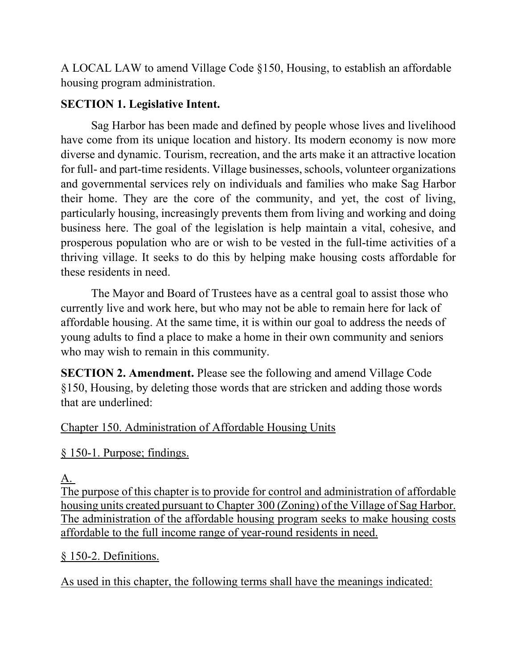A LOCAL LAW to amend Village Code §150, Housing, to establish an affordable housing program administration.

### **SECTION 1. Legislative Intent.**

Sag Harbor has been made and defined by people whose lives and livelihood have come from its unique location and history. Its modern economy is now more diverse and dynamic. Tourism, recreation, and the arts make it an attractive location for full- and part-time residents. Village businesses, schools, volunteer organizations and governmental services rely on individuals and families who make Sag Harbor their home. They are the core of the community, and yet, the cost of living, particularly housing, increasingly prevents them from living and working and doing business here. The goal of the legislation is help maintain a vital, cohesive, and prosperous population who are or wish to be vested in the full-time activities of a thriving village. It seeks to do this by helping make housing costs affordable for these residents in need.

The Mayor and Board of Trustees have as a central goal to assist those who currently live and work here, but who may not be able to remain here for lack of affordable housing. At the same time, it is within our goal to address the needs of young adults to find a place to make a home in their own community and seniors who may wish to remain in this community.

**SECTION 2. Amendment.** Please see the following and amend Village Code §150, Housing, by deleting those words that are stricken and adding those words that are underlined:

### [Chapter 150. Administration of Affordable Housing U](https://ecode360.com/print/WE0779?guid=26944300,26944268,26944277,26944298,26944310#26944267)nits

[§ 150-1. Purpose; findings.](https://ecode360.com/print/WE0779?guid=26944300,26944268,26944277,26944298,26944310#26944268)

### [A.](https://ecode360.com/print/26944269#26944269)

The purpose of this chapter is to provide for control and administration of affordable housing units created pursuant to Chapter 300 (Zoning) of the Village of Sag Harbor. The administration of the affordable housing program seeks to make housing costs affordable to the full income range of year-round residents in need.

### [§ 150-2. Definitions.](https://ecode360.com/print/WE0779?guid=26944300,26944268,26944277,26944298,26944310#26944277)

As used in this chapter, the following terms shall have the meanings indicated: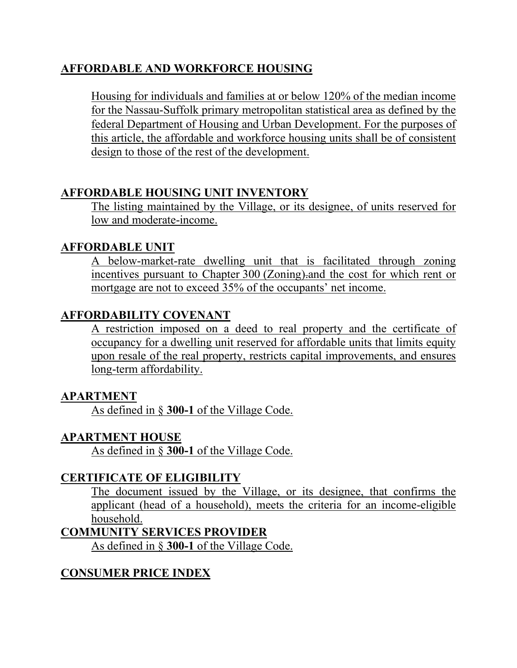### **[AFFORDABLE AND WORKFORCE HOUSING](https://ecode360.com/14669440#14669440)**

Housing for individuals and families at or below 120% of the median income for the Nassau-Suffolk primary metropolitan statistical area as defined by the federal Department of Housing and Urban Development. For the purposes of this article, the affordable and workforce housing units shall be of consistent design to those of the rest of the development.

#### **[AFFORDABLE HOUSING UNIT INVENTORY](https://ecode360.com/print/26944279#26944279)**

The listing maintained by the Village, or its designee, of units reserved for low and moderate-income.

### **[AFFORDABLE UNIT](https://ecode360.com/print/26944280#26944280)**

A below-market-rate dwelling unit that is facilitated through zoning incentives pursuant to Chapter [300](https://ecode360.com/print/6847794#6847794) (Zoning).and the cost for which rent or mortgage are not to exceed 35% of the occupants' net income.

## **AFFORDABILITY COVENANT**

A restriction imposed on a deed to real property and the certificate of occupancy for a dwelling unit reserved for affordable units that limits equity upon resale of the real property, restricts capital improvements, and ensures long-term affordability.

#### **[APARTMENT](https://ecode360.com/print/26944282#26944282)**

As defined in § **[300-1](https://ecode360.com/print/6847796#6847796)** of the Village Code.

### **[APARTMENT HOUSE](https://ecode360.com/print/26944283#26944283)**

As defined in § **[300-1](https://ecode360.com/print/6847796#6847796)** of the Village Code.

#### **[CERTIFICATE OF ELIGIBILITY](https://ecode360.com/print/26944284#26944284)**

The document issued by the Village, or its designee, that confirms the applicant (head of a household), meets the criteria for an income-eligible household.

#### **[COMMUNITY SERVICES PROVIDER](https://ecode360.com/print/26944285#26944285)**

As defined in § **[300-1](https://ecode360.com/print/6847796#6847796)** of the Village Code.

### **[CONSUMER PRICE INDEX](https://ecode360.com/print/26944286#26944286)**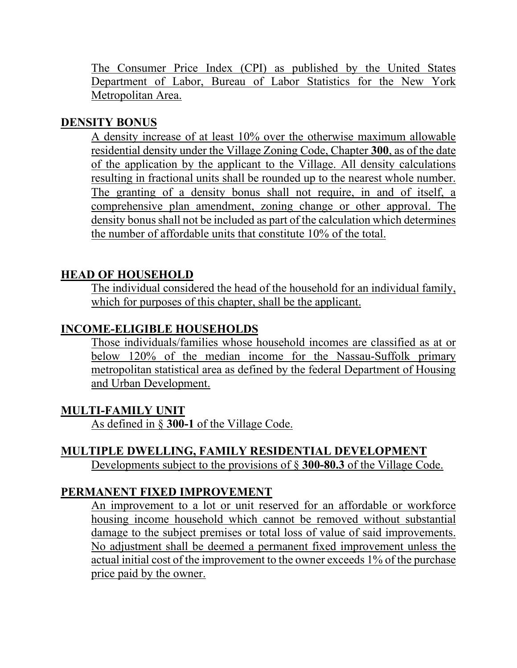The Consumer Price Index (CPI) as published by the United States Department of Labor, Bureau of Labor Statistics for the New York Metropolitan Area.

#### **[DENSITY BONUS](https://ecode360.com/14669441#14669441)**

A density increase of at least 10% over the otherwise maximum allowable residential density under the Village Zoning Code, Chapter **[300](https://ecode360.com/14671659#14671659)**, as of the date of the application by the applicant to the Village. All density calculations resulting in fractional units shall be rounded up to the nearest whole number. The granting of a density bonus shall not require, in and of itself, a comprehensive plan amendment, zoning change or other approval. The density bonus shall not be included as part of the calculation which determines the number of affordable units that constitute 10% of the total.

## **[HEAD OF HOUSEHOLD](https://ecode360.com/print/26944287#26944287)**

The individual considered the head of the household for an individual family, which for purposes of this chapter, shall be the applicant.

### **[INCOME-ELIGIBLE HOUSEHOLDS](https://ecode360.com/print/26944288#26944288)**

Those individuals/families whose household incomes are classified as at or below 120% of the median income for the Nassau-Suffolk primary metropolitan statistical area as defined by the federal Department of Housing and Urban Development.

#### **[MULTI-FAMILY UNIT](https://ecode360.com/print/26944292#26944292)**

As defined in § **[300-1](https://ecode360.com/print/6847796#6847796)** of the Village Code.

#### **[MULTIPLE DWELLING, FAMILY RESIDENTIAL DEVELOPMENT](https://ecode360.com/print/26944293#26944293)** Developments subject to the provisions of § **[300-80.3](https://ecode360.com/print/9213521#9213521)** of the Village Code.

#### **[PERMANENT FIXED IMPROVEMENT](https://ecode360.com/print/26944294#26944294)**

An improvement to a lot or unit reserved for an affordable or workforce housing income household which cannot be removed without substantial damage to the subject premises or total loss of value of said improvements. No adjustment shall be deemed a permanent fixed improvement unless the actual initial cost of the improvement to the owner exceeds 1% of the purchase price paid by the owner.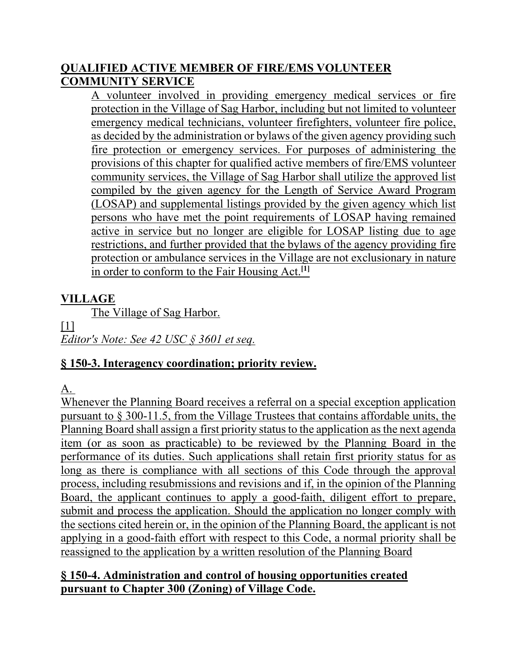## **[QUALIFIED ACTIVE MEMBER OF FIRE/EMS VOLUNTEER](https://ecode360.com/print/26944295#26944295)  [COMMUNITY SERVICE](https://ecode360.com/print/26944295#26944295)**

A volunteer involved in providing emergency medical services or fire protection in the Village of Sag Harbor, including but not limited to volunteer emergency medical technicians, volunteer firefighters, volunteer fire police, as decided by the administration or bylaws of the given agency providing such fire protection or emergency services. For purposes of administering the provisions of this chapter for qualified active members of fire/EMS volunteer community services, the Village of Sag Harbor shall utilize the approved list compiled by the given agency for the Length of Service Award Program (LOSAP) and supplemental listings provided by the given agency which list persons who have met the point requirements of LOSAP having remained active in service but no longer are eligible for LOSAP listing due to age restrictions, and further provided that the bylaws of the agency providing fire protection or ambulance services in the Village are not exclusionary in nature in order to conform to the Fair Housing Act.**[\[1\]](https://ecode360.com/print/WE0779?guid=26944300,26944268,26944277,26944298,26944310#ft26944295-1)**

## **[VILLAGE](https://ecode360.com/print/26944296#26944296)**

The Village of Sag Harbor.

 $[1]$ 

*Editor's Note: See 42 USC § 3601 et seq.*

### **[§ 150-3. Interagency coordination; priority review.](https://ecode360.com/print/WE0779?guid=26944300,26944268,26944277,26944298,26944310#26944298)**

[A.](https://ecode360.com/print/26944299#26944299)

Whenever the Planning Board receives a referral on a special exception application pursuant to § [300-11.5](https://ecode360.com/print/9213521#9213521), from the Village Trustees that contains affordable units, the Planning Board shall assign a first priority status to the application as the next agenda item (or as soon as practicable) to be reviewed by the Planning Board in the performance of its duties. Such applications shall retain first priority status for as long as there is compliance with all sections of this Code through the approval process, including resubmissions and revisions and if, in the opinion of the Planning Board, the applicant continues to apply a good-faith, diligent effort to prepare, submit and process the application. Should the application no longer comply with the sections cited herein or, in the opinion of the Planning Board, the applicant is not applying in a good-faith effort with respect to this Code, a normal priority shall be reassigned to the application by a written resolution of the Planning Board

#### **[§ 150-4. Administration and control of housing opportunities created](https://ecode360.com/print/WE0779?guid=26944300,26944268,26944277,26944298,26944310#26944300)  pursuant to Chapter 300 [\(Zoning\) of Village Code.](https://ecode360.com/print/WE0779?guid=26944300,26944268,26944277,26944298,26944310#26944300)**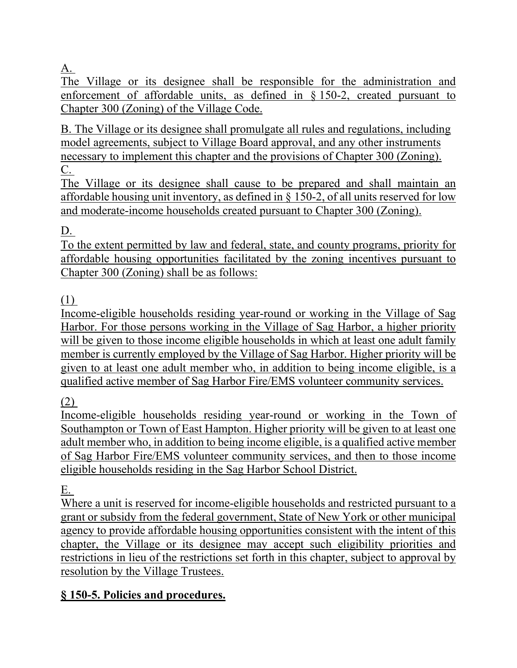[A.](https://ecode360.com/print/26944301#26944301)

The Village or its designee shall be responsible for the administration and enforcement of affordable units, as defined in § [150-](https://ecode360.com/print/26944277#26944277)2, created pursuant to Chapter [300](https://ecode360.com/print/6847794#6847794) (Zoning) of the Village Code.

[B. T](https://ecode360.com/print/26944302#26944302)he Village or its designee shall promulgate all rules and regulations, including model agreements, subject to Village Board approval, and any other instruments necessary to implement this chapter and the provisions of Chapter [300](https://ecode360.com/print/6847794#6847794) (Zoning). [C.](https://ecode360.com/print/26944303#26944303) 

The Village or its designee shall cause to be prepared and shall maintain an affordable housing unit inventory, as defined in  $\S$  [150-2,](https://ecode360.com/print/26944277#26944277) of all units reserved for low and moderate-income households created pursuant to Chapter [300](https://ecode360.com/print/6847794#6847794) (Zoning).

## [D.](https://ecode360.com/print/26944304#26944304)

To the extent permitted by law and federal, state, and county programs, priority for affordable housing opportunities facilitated by the zoning incentives pursuant to Chapter [300](https://ecode360.com/print/6847794#6847794) (Zoning) shall be as follows:

### [\(1\)](https://ecode360.com/print/26944305#26944305)

Income-eligible households residing year-round or working in the Village of Sag Harbor. For those persons working in the Village of Sag Harbor, a higher priority will be given to those income eligible households in which at least one adult family member is currently employed by the Village of Sag Harbor. Higher priority will be given to at least one adult member who, in addition to being income eligible, is a qualified active member of Sag Harbor Fire/EMS volunteer community services.

[\(2\)](https://ecode360.com/print/26944306#26944306) 

Income-eligible households residing year-round or working in the Town of Southampton or Town of East Hampton. Higher priority will be given to at least one adult member who, in addition to being income eligible, is a qualified active member of Sag Harbor Fire/EMS volunteer community services, and then to those income eligible households residing in the Sag Harbor School District.

[E.](https://ecode360.com/print/26944309#26944309)

Where a unit is reserved for income-eligible households and restricted pursuant to a grant or subsidy from the federal government, State of New York or other municipal agency to provide affordable housing opportunities consistent with the intent of this chapter, the Village or its designee may accept such eligibility priorities and restrictions in lieu of the restrictions set forth in this chapter, subject to approval by resolution by the Village Trustees.

## **[§ 150-5. Policies and procedures.](https://ecode360.com/print/WE0779?guid=26944300,26944268,26944277,26944298,26944310#26944310)**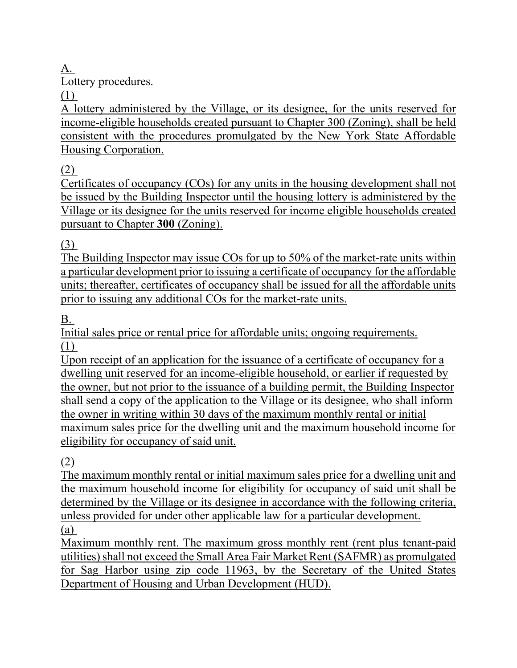[A.](https://ecode360.com/print/26944311#26944311)

Lottery procedures.

[\(1\)](https://ecode360.com/print/26944312#26944312) 

A lottery administered by the Village, or its designee, for the units reserved for income-eligible households created pursuant to Chapter [300](https://ecode360.com/print/6847794#6847794) (Zoning), shall be held consistent with the procedures promulgated by the New York State Affordable Housing Corporation.

[\(2\)](https://ecode360.com/print/26944313#26944313) 

Certificates of occupancy (COs) for any units in the housing development shall not be issued by the Building Inspector until the housing lottery is administered by the Village or its designee for the units reserved for income eligible households created pursuant to Chapter **[300](https://ecode360.com/print/6847794#6847794)** (Zoning).

[\(3\)](https://ecode360.com/print/26944314#26944314) 

The Building Inspector may issue COs for up to 50% of the market-rate units within a particular development prior to issuing a certificate of occupancy for the affordable units; thereafter, certificates of occupancy shall be issued for all the affordable units prior to issuing any additional COs for the market-rate units.

[B.](https://ecode360.com/print/26944315#26944315) 

Initial sales price or rental price for affordable units; ongoing requirements. [\(1\)](https://ecode360.com/print/26944316#26944316) 

Upon receipt of an application for the issuance of a certificate of occupancy for a dwelling unit reserved for an income-eligible household, or earlier if requested by the owner, but not prior to the issuance of a building permit, the Building Inspector shall send a copy of the application to the Village or its designee, who shall inform the owner in writing within 30 days of the maximum monthly rental or initial maximum sales price for the dwelling unit and the maximum household income for eligibility for occupancy of said unit.

[\(2\)](https://ecode360.com/print/26944317#26944317) 

The maximum monthly rental or initial maximum sales price for a dwelling unit and the maximum household income for eligibility for occupancy of said unit shall be determined by the Village or its designee in accordance with the following criteria, unless provided for under other applicable law for a particular development. [\(a\)](https://ecode360.com/print/26944318#26944318) 

Maximum monthly rent. The maximum gross monthly rent (rent plus tenant-paid utilities) shall not exceed the Small Area Fair Market Rent (SAFMR) as promulgated for Sag Harbor using zip code 11963, by the Secretary of the United States Department of Housing and Urban Development (HUD).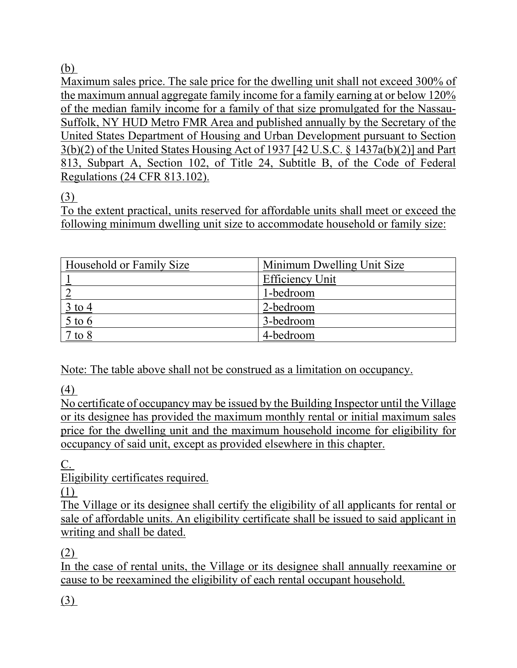## [\(b\)](https://ecode360.com/print/26944321#26944321)

Maximum sales price. The sale price for the dwelling unit shall not exceed 300% of the maximum annual aggregate family income for a family earning at or below 120% of the median family income for a family of that size promulgated for the Nassau-Suffolk, NY HUD Metro FMR Area and published annually by the Secretary of the United States Department of Housing and Urban Development pursuant to Section 3(b)(2) of the United States Housing Act of 1937 [42 U.S.C. § 1437a(b)(2)] and Part 813, Subpart A, Section 102, of Title 24, Subtitle B, of the Code of Federal Regulations (24 CFR 813.102).

## [\(3\)](https://ecode360.com/print/26944322#26944322)

To the extent practical, units reserved for affordable units shall meet or exceed the following minimum dwelling unit size to accommodate household or family size:

| Household or Family Size                | Minimum Dwelling Unit Size |
|-----------------------------------------|----------------------------|
|                                         | <b>Efficiency Unit</b>     |
|                                         | 1-bedroom                  |
| <u>3 to 4</u>                           | 2-bedroom                  |
| $rac{5 \text{ to } 6}{2 \text{ to } 6}$ | 3-bedroom                  |
| $7$ to $8$                              | 4-bedroom                  |

Note: The table above shall not be construed as a limitation on occupancy.

[\(4\)](https://ecode360.com/print/26944323#26944323) 

No certificate of occupancy may be issued by the Building Inspector until the Village or its designee has provided the maximum monthly rental or initial maximum sales price for the dwelling unit and the maximum household income for eligibility for occupancy of said unit, except as provided elsewhere in this chapter.

[C.](https://ecode360.com/print/26944324#26944324) 

Eligibility certificates required.

[\(1\)](https://ecode360.com/print/26944325#26944325) 

The Village or its designee shall certify the eligibility of all applicants for rental or sale of affordable units. An eligibility certificate shall be issued to said applicant in writing and shall be dated.

[\(2\)](https://ecode360.com/print/26944326#26944326) 

In the case of rental units, the Village or its designee shall annually reexamine or cause to be reexamined the eligibility of each rental occupant household.

[\(3\)](https://ecode360.com/print/26944327#26944327)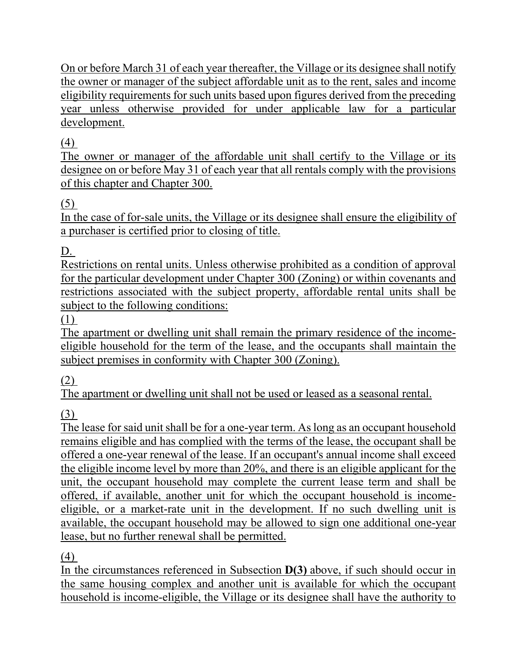On or before March 31 of each year thereafter, the Village or its designee shall notify the owner or manager of the subject affordable unit as to the rent, sales and income eligibility requirements for such units based upon figures derived from the preceding year unless otherwise provided for under applicable law for a particular development.

## [\(4\)](https://ecode360.com/print/26944328#26944328)

The owner or manager of the affordable unit shall certify to the Village or its designee on or before May 31 of each year that all rentals comply with the provisions of this chapter and Chapter [300.](https://ecode360.com/print/6847794#6847794)

## [\(5\)](https://ecode360.com/print/26944329#26944329)

In the case of for-sale units, the Village or its designee shall ensure the eligibility of a purchaser is certified prior to closing of title.

[D.](https://ecode360.com/print/26944330#26944330)

Restrictions on rental units. Unless otherwise prohibited as a condition of approval for the particular development under Chapter [300](https://ecode360.com/print/6847794#6847794) (Zoning) or within covenants and restrictions associated with the subject property, affordable rental units shall be subject to the following conditions:

[\(1\)](https://ecode360.com/print/26944331#26944331) 

The apartment or dwelling unit shall remain the primary residence of the incomeeligible household for the term of the lease, and the occupants shall maintain the subject premises in conformity with Chapter [300](https://ecode360.com/print/6847794#6847794) (Zoning).

[\(2\)](https://ecode360.com/print/26944332#26944332) 

The apartment or dwelling unit shall not be used or leased as a seasonal rental.

[\(3\)](https://ecode360.com/print/26944333#26944333) 

The lease for said unit shall be for a one-year term. As long as an occupant household remains eligible and has complied with the terms of the lease, the occupant shall be offered a one-year renewal of the lease. If an occupant's annual income shall exceed the eligible income level by more than 20%, and there is an eligible applicant for the unit, the occupant household may complete the current lease term and shall be offered, if available, another unit for which the occupant household is incomeeligible, or a market-rate unit in the development. If no such dwelling unit is available, the occupant household may be allowed to sign one additional one-year lease, but no further renewal shall be permitted.

[\(4\)](https://ecode360.com/print/26944334#26944334) 

In the circumstances referenced in Subsection **[D\(3\)](https://ecode360.com/print/26944333#26944333)** above, if such should occur in the same housing complex and another unit is available for which the occupant household is income-eligible, the Village or its designee shall have the authority to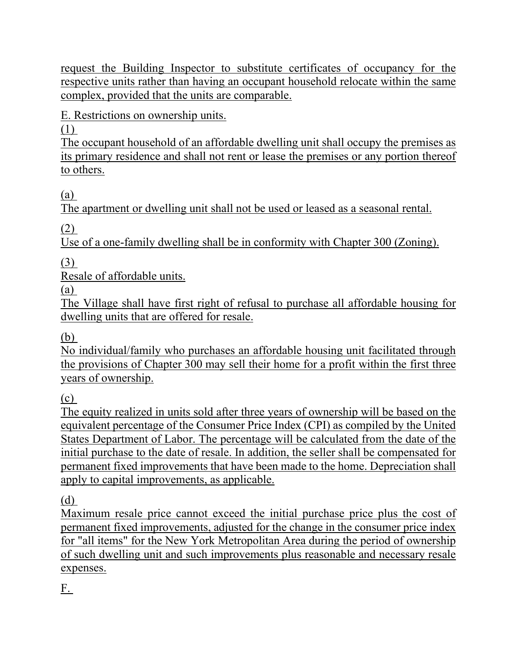request the Building Inspector to substitute certificates of occupancy for the respective units rather than having an occupant household relocate within the same complex, provided that the units are comparable.

[E.](https://ecode360.com/print/26944335#26944335) Restrictions on ownership units.

[\(1\)](https://ecode360.com/print/26944336#26944336) 

The occupant household of an affordable dwelling unit shall occupy the premises as its primary residence and shall not rent or lease the premises or any portion thereof to others.

[\(a\)](https://ecode360.com/print/26944337#26944337) 

The apartment or dwelling unit shall not be used or leased as a seasonal rental.

[\(2\)](https://ecode360.com/print/26944338#26944338) 

Use of a one-family dwelling shall be in conformity with Chapter [300](https://ecode360.com/print/6847794#6847794) (Zoning).

[\(3\)](https://ecode360.com/print/26944339#26944339) 

Resale of affordable units.

[\(a\)](https://ecode360.com/print/26944340#26944340) 

The Village shall have first right of refusal to purchase all affordable housing for dwelling units that are offered for resale.

[\(b\)](https://ecode360.com/print/26944341#26944341) 

No individual/family who purchases an affordable housing unit facilitated through the provisions of Chapter [300](https://ecode360.com/print/6847794#6847794) may sell their home for a profit within the first three years of ownership.

[\(c\)](https://ecode360.com/print/26944342#26944342) 

The equity realized in units sold after three years of ownership will be based on the equivalent percentage of the Consumer Price Index (CPI) as compiled by the United States Department of Labor. The percentage will be calculated from the date of the initial purchase to the date of resale. In addition, the seller shall be compensated for permanent fixed improvements that have been made to the home. Depreciation shall apply to capital improvements, as applicable.

[\(d\)](https://ecode360.com/print/26944343#26944343) 

Maximum resale price cannot exceed the initial purchase price plus the cost of permanent fixed improvements, adjusted for the change in the consumer price index for "all items" for the New York Metropolitan Area during the period of ownership of such dwelling unit and such improvements plus reasonable and necessary resale expenses.

[F.](https://ecode360.com/print/26944344#26944344)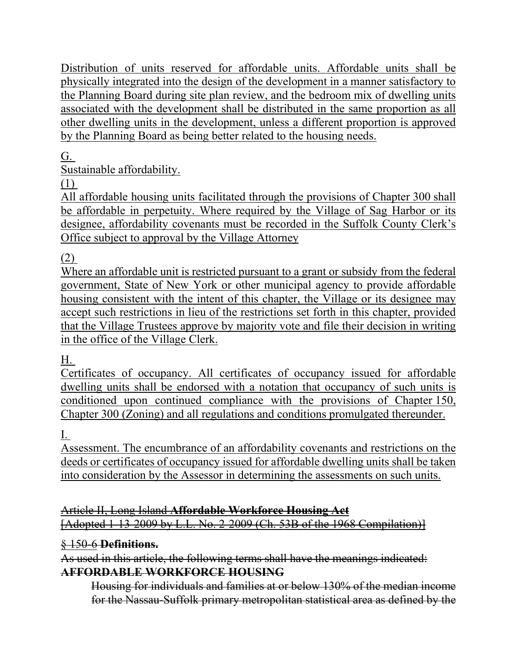Distribution of units reserved for affordable units. Affordable units shall be physically integrated into the design of the development in a manner satisfactory to the Planning Board during site plan review, and the bedroom mix of dwelling units associated with the development shall be distributed in the same proportion as all other dwelling units in the development, unless a different proportion is approved by the Planning Board as being better related to the housing needs.

## [G.](https://ecode360.com/print/26944345#26944345)

Sustainable affordability.

[\(1\)](https://ecode360.com/print/26944346#26944346) 

All affordable housing units facilitated through the provisions of Chapter [300](https://ecode360.com/print/6847794#6847794) shall be affordable in perpetuity. Where required by the Village of Sag Harbor or its designee, affordability covenants must be recorded in the Suffolk County Clerk's Office subject to approval by the Village Attorney

[\(2\)](https://ecode360.com/print/26944347#26944347) 

Where an affordable unit is restricted pursuant to a grant or subsidy from the federal government, State of New York or other municipal agency to provide affordable housing consistent with the intent of this chapter, the Village or its designee may accept such restrictions in lieu of the restrictions set forth in this chapter, provided that the Village Trustees approve by majority vote and file their decision in writing in the office of the Village Clerk.

[H.](https://ecode360.com/print/26944348#26944348)

Certificates of occupancy. All certificates of occupancy issued for affordable dwelling units shall be endorsed with a notation that occupancy of such units is conditioned upon continued compliance with the provisions of Chapter [150,](https://ecode360.com/print/26944267#26944267) Chapter [300](https://ecode360.com/print/6847794#6847794) (Zoning) and all regulations and conditions promulgated thereunder.

[I.](https://ecode360.com/print/26944349#26944349) 

Assessment. The encumbrance of an affordability covenants and restrictions on the deeds or certificates of occupancy issued for affordable dwelling units shall be taken into consideration by the Assessor in determining the assessments on such units.

Article II, Long Island **[Affordable Workforce Housing](https://ecode360.com/14669438) Act** [Adopted 1-13-2009 by L.L. No. 2-2009 (Ch. 53B of the 1968 Compilation)]

### § 150-6 **[Definitions.](https://ecode360.com/14669437#14669439)**

As used in this article, the following terms shall have the meanings indicated: **[AFFORDABLE WORKFORCE HOUSING](https://ecode360.com/14669440#14669440)**

Housing for individuals and families at or below 130% of the median income for the Nassau-Suffolk primary metropolitan statistical area as defined by the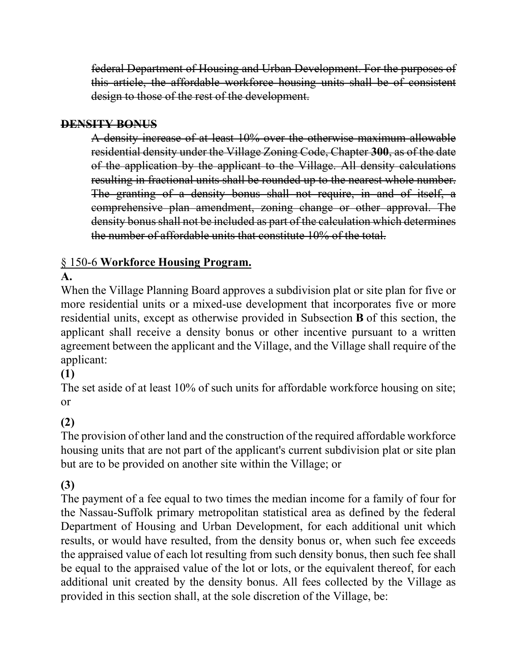federal Department of Housing and Urban Development. For the purposes of this article, the affordable workforce housing units shall be of consistent design to those of the rest of the development.

### **[DENSITY BONUS](https://ecode360.com/14669441#14669441)**

A density increase of at least 10% over the otherwise maximum allowable residential density under the Village Zoning Code, Chapter **[300](https://ecode360.com/14671659#14671659)**, as of the date of the application by the applicant to the Village. All density calculations resulting in fractional units shall be rounded up to the nearest whole number. The granting of a density bonus shall not require, in and of itself, a comprehensive plan amendment, zoning change or other approval. The density bonus shall not be included as part of the calculation which determines the number of affordable units that constitute 10% of the total.

## § 150-6 **[Workforce Housing Program.](https://ecode360.com/14669437#14669442)**

## **[A.](https://ecode360.com/14669443#14669443)**

When the Village Planning Board approves a subdivision plat or site plan for five or more residential units or a mixed-use development that incorporates five or more residential units, except as otherwise provided in Subsection **[B](https://ecode360.com/14669450#14669450)** of this section, the applicant shall receive a density bonus or other incentive pursuant to a written agreement between the applicant and the Village, and the Village shall require of the applicant:

### **[\(1\)](https://ecode360.com/14669444#14669444)**

The set aside of at least 10% of such units for affordable workforce housing on site; or

### **[\(2\)](https://ecode360.com/14669445#14669445)**

The provision of other land and the construction of the required affordable workforce housing units that are not part of the applicant's current subdivision plat or site plan but are to be provided on another site within the Village; or

### **[\(3\)](https://ecode360.com/14669446#14669446)**

The payment of a fee equal to two times the median income for a family of four for the Nassau-Suffolk primary metropolitan statistical area as defined by the federal Department of Housing and Urban Development, for each additional unit which results, or would have resulted, from the density bonus or, when such fee exceeds the appraised value of each lot resulting from such density bonus, then such fee shall be equal to the appraised value of the lot or lots, or the equivalent thereof, for each additional unit created by the density bonus. All fees collected by the Village as provided in this section shall, at the sole discretion of the Village, be: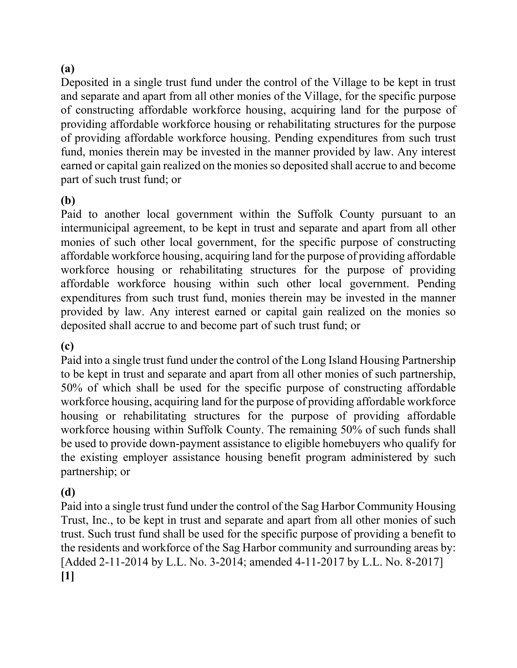### **(a)**

Deposited in a single trust fund under the control of the Village to be kept in trust and separate and apart from all other monies of the Village, for the specific purpose of constructing affordable workforce housing, acquiring land for the purpose of providing affordable workforce housing or rehabilitating structures for the purpose of providing affordable workforce housing. Pending expenditures from such trust fund, monies therein may be invested in the manner provided by law. Any interest earned or capital gain realized on the monies so deposited shall accrue to and become part of such trust fund; or

#### **(b)**

Paid to another local government within the Suffolk County pursuant to an intermunicipal agreement, to be kept in trust and separate and apart from all other monies of such other local government, for the specific purpose of constructing affordable workforce housing, acquiring land for the purpose of providing affordable workforce housing or rehabilitating structures for the purpose of providing affordable workforce housing within such other local government. Pending expenditures from such trust fund, monies therein may be invested in the manner provided by law. Any interest earned or capital gain realized on the monies so deposited shall accrue to and become part of such trust fund; or

#### **(c)**

Paid into a single trust fund under the control of the Long Island Housing Partnership to be kept in trust and separate and apart from all other monies of such partnership, 50% of which shall be used for the specific purpose of constructing affordable workforce housing, acquiring land for the purpose of providing affordable workforce housing or rehabilitating structures for the purpose of providing affordable workforce housing within Suffolk County. The remaining 50% of such funds shall be used to provide down-payment assistance to eligible homebuyers who qualify for the existing employer assistance housing benefit program administered by such partnership; or

#### **(d)**

Paid into a single trust fund under the control of the Sag Harbor Community Housing Trust, Inc., to be kept in trust and separate and apart from all other monies of such trust. Such trust fund shall be used for the specific purpose of providing a benefit to the residents and workforce of the Sag Harbor community and surrounding areas by: [Added 2-11-2014 by L.L. No. 3-2014; amended 4-11-2017 by L.L. No. 8-2017] **[1]**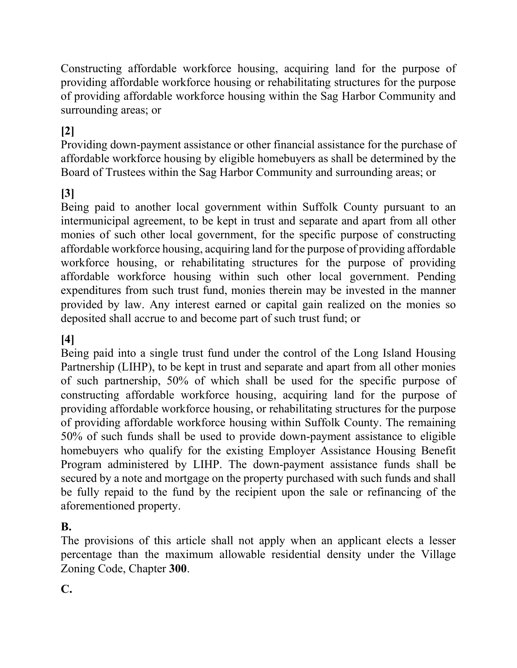Constructing affordable workforce housing, acquiring land for the purpose of providing affordable workforce housing or rehabilitating structures for the purpose of providing affordable workforce housing within the Sag Harbor Community and surrounding areas; or

## **[2]**

Providing down-payment assistance or other financial assistance for the purchase of affordable workforce housing by eligible homebuyers as shall be determined by the Board of Trustees within the Sag Harbor Community and surrounding areas; or

### **[3]**

Being paid to another local government within Suffolk County pursuant to an intermunicipal agreement, to be kept in trust and separate and apart from all other monies of such other local government, for the specific purpose of constructing affordable workforce housing, acquiring land for the purpose of providing affordable workforce housing, or rehabilitating structures for the purpose of providing affordable workforce housing within such other local government. Pending expenditures from such trust fund, monies therein may be invested in the manner provided by law. Any interest earned or capital gain realized on the monies so deposited shall accrue to and become part of such trust fund; or

#### **[4]**

Being paid into a single trust fund under the control of the Long Island Housing Partnership (LIHP), to be kept in trust and separate and apart from all other monies of such partnership, 50% of which shall be used for the specific purpose of constructing affordable workforce housing, acquiring land for the purpose of providing affordable workforce housing, or rehabilitating structures for the purpose of providing affordable workforce housing within Suffolk County. The remaining 50% of such funds shall be used to provide down-payment assistance to eligible homebuyers who qualify for the existing Employer Assistance Housing Benefit Program administered by LIHP. The down-payment assistance funds shall be secured by a note and mortgage on the property purchased with such funds and shall be fully repaid to the fund by the recipient upon the sale or refinancing of the aforementioned property.

#### **B.**

The provisions of this article shall not apply when an applicant elects a lesser percentage than the maximum allowable residential density under the Village Zoning Code, Chapter **300**.

**C.**